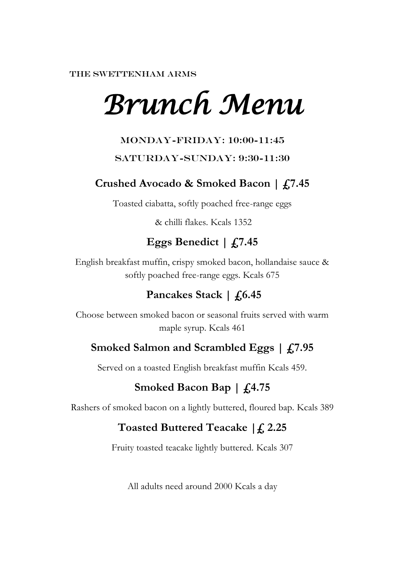THE SWETTENHAM ARMS

# *Brunch Menu*

#### Monday-Friday: 10:00-11:45

#### SATURDAY-SUNDAY: 9:30-11:30

## **Crushed Avocado & Smoked Bacon | £7.45**

Toasted ciabatta, softly poached free-range eggs

& chilli flakes. Kcals 1352

# **Eggs Benedict | £7.45**

English breakfast muffin, crispy smoked bacon, hollandaise sauce & softly poached free-range eggs. Kcals 675

# Pancakes Stack | £6.45

Choose between smoked bacon or seasonal fruits served with warm maple syrup. Kcals 461

### **Smoked Salmon and Scrambled Eggs | £7.95**

Served on a toasted English breakfast muffin Kcals 459.

# **Smoked Bacon Bap | £4.75**

Rashers of smoked bacon on a lightly buttered, floured bap. Kcals 389

# **Toasted Buttered Teacake |£ 2.25**

Fruity toasted teacake lightly buttered. Kcals 307

All adults need around 2000 Kcals a day